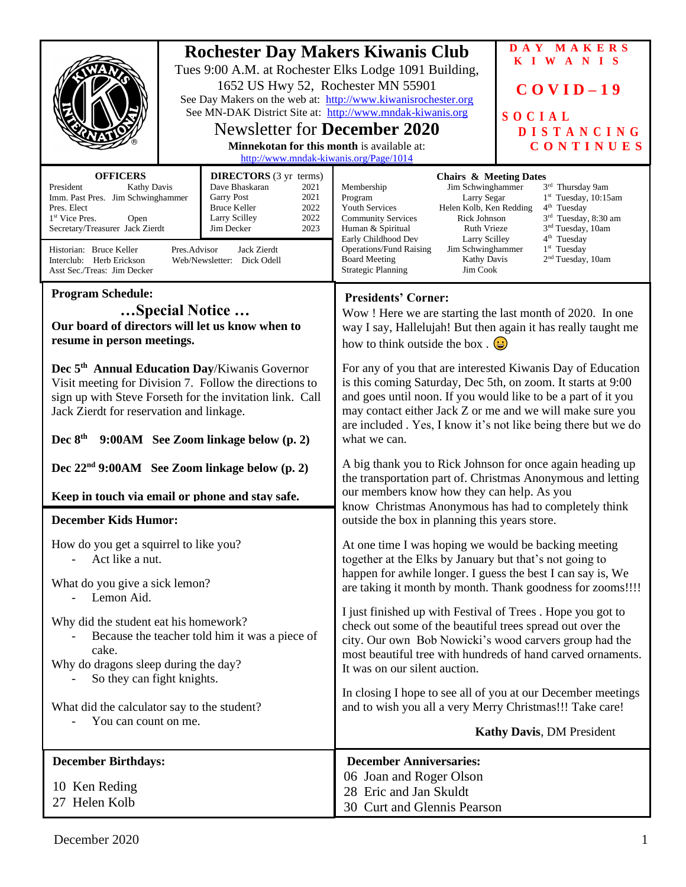|                                                                                                                                                                                                                                                                                                                                                                                                                                                                                                   | 1652 US Hwy 52, Rochester MN 55901<br><b>Newsletter for December 2020</b><br><b>Minnekotan for this month is available at:</b><br>http://www.mndak-kiwanis.org/Page/1014 | DAY MAKERS<br><b>Rochester Day Makers Kiwanis Club</b><br><b>KIWANIS</b><br>Tues 9:00 A.M. at Rochester Elks Lodge 1091 Building,<br>$COVID-19$<br>See Day Makers on the web at: http://www.kiwanisrochester.org<br>See MN-DAK District Site at: http://www.mndak-kiwanis.org<br>SOCIAL<br><b>DISTANCING</b><br>CONTINUES                                                                                                                                                                                                                                                                                                                                     |
|---------------------------------------------------------------------------------------------------------------------------------------------------------------------------------------------------------------------------------------------------------------------------------------------------------------------------------------------------------------------------------------------------------------------------------------------------------------------------------------------------|--------------------------------------------------------------------------------------------------------------------------------------------------------------------------|---------------------------------------------------------------------------------------------------------------------------------------------------------------------------------------------------------------------------------------------------------------------------------------------------------------------------------------------------------------------------------------------------------------------------------------------------------------------------------------------------------------------------------------------------------------------------------------------------------------------------------------------------------------|
| <b>OFFICERS</b><br><b>DIRECTORS</b> (3 yr terms)<br>Dave Bhaskaran<br>President<br>Kathy Davis<br>2021<br>Imm. Past Pres. Jim Schwinghammer<br>2021<br><b>Garry Post</b><br><b>Bruce Keller</b><br>2022<br>Pres. Elect<br>2022<br>Larry Scilley<br>1 <sup>st</sup> Vice Pres.<br>Open<br>Secretary/Treasurer Jack Zierdt<br>Jim Decker<br>2023<br>Pres.Advisor<br>Jack Zierdt<br>Historian: Bruce Keller<br>Interclub: Herb Erickson<br>Web/Newsletter: Dick Odell<br>Asst Sec./Treas: Jim Decker |                                                                                                                                                                          | <b>Chairs &amp; Meeting Dates</b><br>Jim Schwinghammer<br>3rd Thursday 9am<br>Membership<br>$1st$ Tuesday, 10:15am<br>Program<br>Larry Segar<br>Helen Kolb, Ken Redding<br>$4th$ Tuesday<br><b>Youth Services</b><br>3 <sup>rd</sup> Tuesday, 8:30 am<br><b>Community Services</b><br>Rick Johnson<br>3 <sup>nd</sup> Tuesday, 10am<br><b>Ruth Vrieze</b><br>Human & Spiritual<br>4 <sup>th</sup> Tuesday<br>Early Childhood Dev<br>Larry Scilley<br>$1st$ Tuesday<br><b>Operations/Fund Raising</b><br>Jim Schwinghammer<br>2 <sup>nd</sup> Tuesday, 10am<br><b>Board Meeting</b><br><b>Kathy Davis</b><br><b>Strategic Planning</b><br>Jim Cook             |
| <b>Program Schedule:</b><br>Special Notice<br>Our board of directors will let us know when to<br>resume in person meetings.                                                                                                                                                                                                                                                                                                                                                                       |                                                                                                                                                                          | <b>Presidents' Corner:</b><br>Wow! Here we are starting the last month of 2020. In one<br>way I say, Hallelujah! But then again it has really taught me<br>how to think outside the box. $\bigodot$                                                                                                                                                                                                                                                                                                                                                                                                                                                           |
| Dec 5 <sup>th</sup> Annual Education Day/Kiwanis Governor<br>Visit meeting for Division 7. Follow the directions to<br>sign up with Steve Forseth for the invitation link. Call<br>Jack Zierdt for reservation and linkage.<br>Dec $8th$ 9:00AM See Zoom linkage below (p. 2)                                                                                                                                                                                                                     |                                                                                                                                                                          | For any of you that are interested Kiwanis Day of Education<br>is this coming Saturday, Dec 5th, on zoom. It starts at 9:00<br>and goes until noon. If you would like to be a part of it you<br>may contact either Jack Z or me and we will make sure you<br>are included. Yes, I know it's not like being there but we do<br>what we can.                                                                                                                                                                                                                                                                                                                    |
| Dec $22nd$ 9:00AM See Zoom linkage below (p. 2)<br>Keep in touch via email or phone and stay safe.<br><b>December Kids Humor:</b>                                                                                                                                                                                                                                                                                                                                                                 |                                                                                                                                                                          | A big thank you to Rick Johnson for once again heading up<br>the transportation part of. Christmas Anonymous and letting<br>our members know how they can help. As you<br>know Christmas Anonymous has had to completely think<br>outside the box in planning this years store.                                                                                                                                                                                                                                                                                                                                                                               |
| How do you get a squirrel to like you?<br>Act like a nut.<br>What do you give a sick lemon?<br>Lemon Aid.<br>Why did the student eat his homework?<br>Because the teacher told him it was a piece of<br>cake.<br>Why do dragons sleep during the day?<br>So they can fight knights.<br>What did the calculator say to the student?                                                                                                                                                                |                                                                                                                                                                          | At one time I was hoping we would be backing meeting<br>together at the Elks by January but that's not going to<br>happen for awhile longer. I guess the best I can say is, We<br>are taking it month by month. Thank goodness for zooms!!!!<br>I just finished up with Festival of Trees. Hope you got to<br>check out some of the beautiful trees spread out over the<br>city. Our own Bob Nowicki's wood carvers group had the<br>most beautiful tree with hundreds of hand carved ornaments.<br>It was on our silent auction.<br>In closing I hope to see all of you at our December meetings<br>and to wish you all a very Merry Christmas!!! Take care! |
| You can count on me.                                                                                                                                                                                                                                                                                                                                                                                                                                                                              |                                                                                                                                                                          | <b>Kathy Davis, DM President</b>                                                                                                                                                                                                                                                                                                                                                                                                                                                                                                                                                                                                                              |
| <b>December Birthdays:</b><br>10 Ken Reding<br>27 Helen Kolb                                                                                                                                                                                                                                                                                                                                                                                                                                      |                                                                                                                                                                          | <b>December Anniversaries:</b><br>06 Joan and Roger Olson<br>28 Eric and Jan Skuldt<br>30 Curt and Glennis Pearson                                                                                                                                                                                                                                                                                                                                                                                                                                                                                                                                            |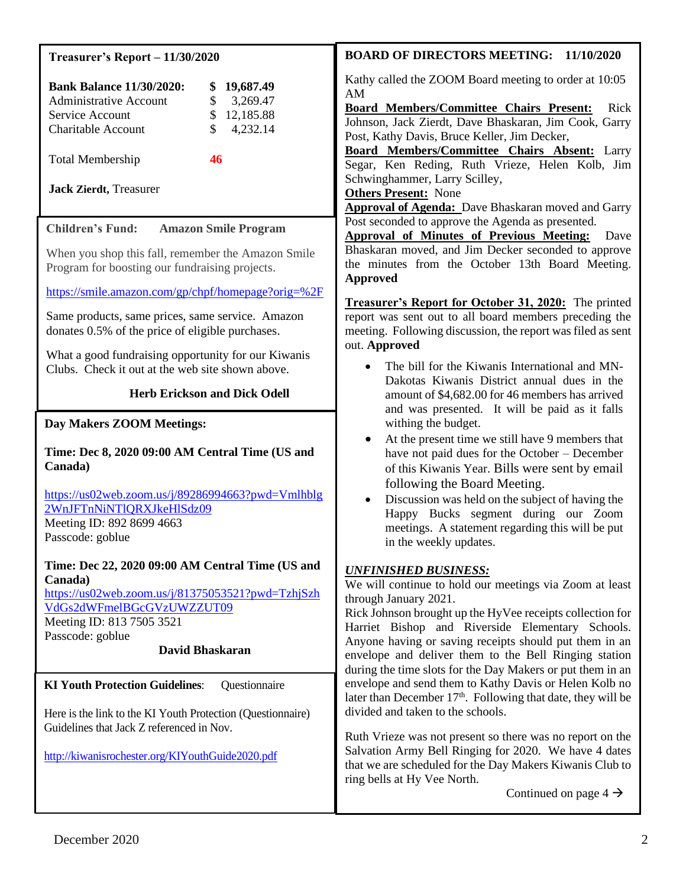| <b>Treasurer's Report - 11/30/2020</b>                                                                                                                                                                                                                  | <b>BOARD OF DIRECTORS MEETING: 11/10/2020</b>                                                                                                                                                                                                                                                                                                                                                                                                                  |
|---------------------------------------------------------------------------------------------------------------------------------------------------------------------------------------------------------------------------------------------------------|----------------------------------------------------------------------------------------------------------------------------------------------------------------------------------------------------------------------------------------------------------------------------------------------------------------------------------------------------------------------------------------------------------------------------------------------------------------|
| <b>Bank Balance 11/30/2020:</b><br>19,687.49<br>3,269.47<br><b>Administrative Account</b><br>\$<br>\$<br>12,185.88<br>Service Account<br>\$<br>4,232.14<br><b>Charitable Account</b><br><b>Total Membership</b><br>46<br><b>Jack Zierdt</b> , Treasurer | Kathy called the ZOOM Board meeting to order at 10:05<br>AM<br><b>Board Members/Committee Chairs Present:</b><br>Rick<br>Johnson, Jack Zierdt, Dave Bhaskaran, Jim Cook, Garry<br>Post, Kathy Davis, Bruce Keller, Jim Decker,<br>Board Members/Committee Chairs Absent: Larry<br>Segar, Ken Reding, Ruth Vrieze, Helen Kolb, Jim<br>Schwinghammer, Larry Scilley,<br><b>Others Present: None</b><br><b>Approval of Agenda:</b> Dave Bhaskaran moved and Garry |
| <b>Children's Fund:</b><br><b>Amazon Smile Program</b>                                                                                                                                                                                                  | Post seconded to approve the Agenda as presented.                                                                                                                                                                                                                                                                                                                                                                                                              |
| When you shop this fall, remember the Amazon Smile<br>Program for boosting our fundraising projects.                                                                                                                                                    | <b>Approval of Minutes of Previous Meeting:</b><br>Dave<br>Bhaskaran moved, and Jim Decker seconded to approve<br>the minutes from the October 13th Board Meeting.<br><b>Approved</b>                                                                                                                                                                                                                                                                          |
| https://smile.amazon.com/gp/chpf/homepage?orig=%2F                                                                                                                                                                                                      | Treasurer's Report for October 31, 2020: The printed                                                                                                                                                                                                                                                                                                                                                                                                           |
| Same products, same prices, same service. Amazon<br>donates 0.5% of the price of eligible purchases.                                                                                                                                                    | report was sent out to all board members preceding the<br>meeting. Following discussion, the report was filed as sent<br>out. Approved                                                                                                                                                                                                                                                                                                                         |
| What a good fundraising opportunity for our Kiwanis<br>Clubs. Check it out at the web site shown above.                                                                                                                                                 | The bill for the Kiwanis International and MN-                                                                                                                                                                                                                                                                                                                                                                                                                 |
| <b>Herb Erickson and Dick Odell</b>                                                                                                                                                                                                                     | Dakotas Kiwanis District annual dues in the<br>amount of \$4,682.00 for 46 members has arrived<br>and was presented. It will be paid as it falls                                                                                                                                                                                                                                                                                                               |
| Day Makers ZOOM Meetings:                                                                                                                                                                                                                               | withing the budget.                                                                                                                                                                                                                                                                                                                                                                                                                                            |
| Time: Dec 8, 2020 09:00 AM Central Time (US and<br>Canada)<br>https://us02web.zoom.us/j/89286994663?pwd=Vmlhblg<br>2WnJFTnNiNTIQRXJkeHlSdz09                                                                                                            | At the present time we still have 9 members that<br>have not paid dues for the October – December<br>of this Kiwanis Year. Bills were sent by email<br>following the Board Meeting.<br>Discussion was held on the subject of having the<br>Happy Bucks segment during our Zoom<br>meetings. A statement regarding this will be put<br>in the weekly updates.                                                                                                   |
| Meeting ID: 892 8699 4663<br>Passcode: goblue                                                                                                                                                                                                           |                                                                                                                                                                                                                                                                                                                                                                                                                                                                |
| Time: Dec 22, 2020 09:00 AM Central Time (US and<br>Canada)<br>https://us02web.zoom.us/j/81375053521?pwd=TzhjSzh<br>VdGs2dWFmelBGcGVzUWZZUT09<br>Meeting ID: 813 7505 3521<br>Passcode: goblue<br><b>David Bhaskaran</b>                                | <b>UNFINISHED BUSINESS:</b><br>We will continue to hold our meetings via Zoom at least<br>through January 2021.<br>Rick Johnson brought up the HyVee receipts collection for<br>Harriet Bishop and Riverside Elementary Schools.<br>Anyone having or saving receipts should put them in an<br>envelope and deliver them to the Bell Ringing station<br>during the time slots for the Day Makers or put them in an                                              |
| <b>KI Youth Protection Guidelines:</b><br>Questionnaire                                                                                                                                                                                                 | envelope and send them to Kathy Davis or Helen Kolb no                                                                                                                                                                                                                                                                                                                                                                                                         |
| Here is the link to the KI Youth Protection (Questionnaire)<br>Guidelines that Jack Z referenced in Nov.                                                                                                                                                | later than December 17 <sup>th</sup> . Following that date, they will be<br>divided and taken to the schools.                                                                                                                                                                                                                                                                                                                                                  |
| http://kiwanisrochester.org/KIYouthGuide2020.pdf                                                                                                                                                                                                        | Ruth Vrieze was not present so there was no report on the<br>Salvation Army Bell Ringing for 2020. We have 4 dates<br>that we are scheduled for the Day Makers Kiwanis Club to<br>ring bells at Hy Vee North.                                                                                                                                                                                                                                                  |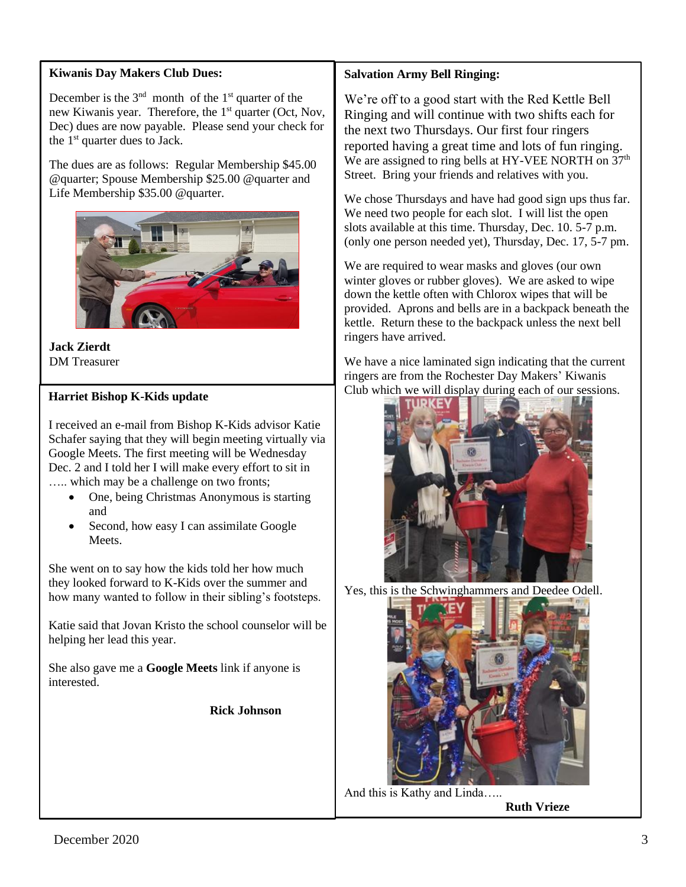#### **Kiwanis Day Makers Club Dues:**

December is the  $3<sup>nd</sup>$  month of the  $1<sup>st</sup>$  quarter of the new Kiwanis year. Therefore, the 1<sup>st</sup> quarter (Oct, Nov, Dec) dues are now payable. Please send your check for the  $1<sup>st</sup>$  quarter dues to Jack.

The dues are as follows: Regular Membership \$45.00 @quarter; Spouse Membership \$25.00 @quarter and Life Membership \$35.00 @quarter.



**Jack Zierdt** DM Treasurer

#### **Harriet Bishop K-Kids update**

I received an e-mail from Bishop K-Kids advisor Katie Schafer saying that they will begin meeting virtually via Google Meets. The first meeting will be Wednesday Dec. 2 and I told her I will make every effort to sit in ….. which may be a challenge on two fronts;

- One, being Christmas Anonymous is starting and
- Second, how easy I can assimilate Google Meets.

She went on to say how the kids told her how much they looked forward to K-Kids over the summer and how many wanted to follow in their sibling's footsteps.

Katie said that Jovan Kristo the school counselor will be helping her lead this year.

She also gave me a **Google Meets** link if anyone is interested.

**Rick Johnson**

### **Salvation Army Bell Ringing:**

We're off to a good start with the Red Kettle Bell Ringing and will continue with two shifts each for the next two Thursdays. Our first four ringers reported having a great time and lots of fun ringing. We are assigned to ring bells at HY-VEE NORTH on 37<sup>th</sup> Street. Bring your friends and relatives with you.

We chose Thursdays and have had good sign ups thus far. We need two people for each slot. I will list the open slots available at this time. Thursday, Dec. 10. 5-7 p.m. (only one person needed yet), Thursday, Dec. 17, 5-7 pm.

We are required to wear masks and gloves (our own winter gloves or rubber gloves). We are asked to wipe down the kettle often with Chlorox wipes that will be provided. Aprons and bells are in a backpack beneath the kettle. Return these to the backpack unless the next bell ringers have arrived.

We have a nice laminated sign indicating that the current ringers are from the Rochester Day Makers' Kiwanis Club which we will display during each of our sessions.



Yes, this is the Schwinghammers and Deedee Odell.



And this is Kathy and Linda…..

**Ruth Vrieze**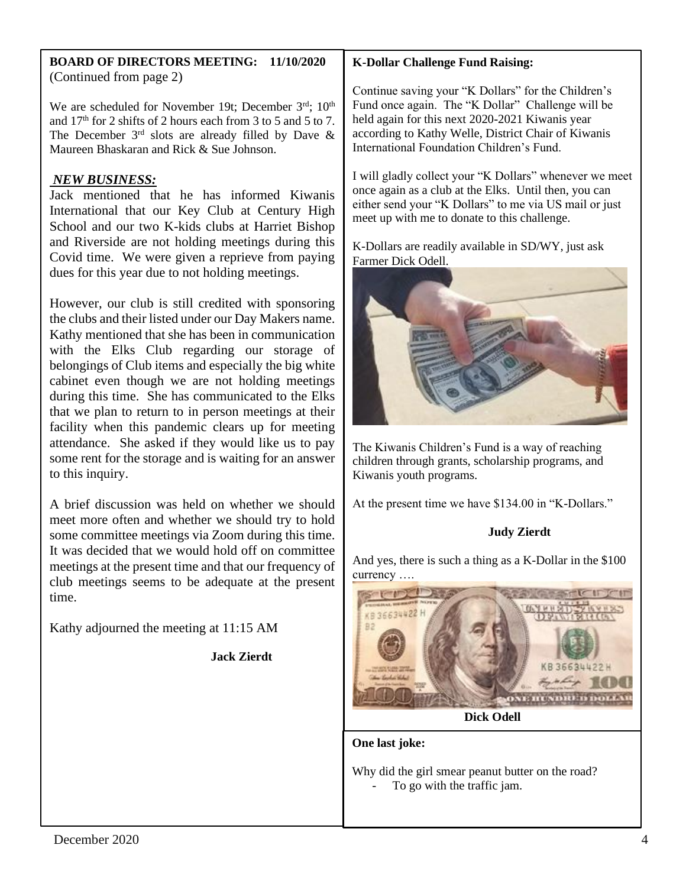#### **BOARD OF DIRECTORS MEETING: 11/10/2020** (Continued from page 2)

We are scheduled for November 19t; December 3rd; 10<sup>th</sup> and  $17<sup>th</sup>$  for 2 shifts of 2 hours each from 3 to 5 and 5 to 7. The December  $3<sup>rd</sup>$  slots are already filled by Dave & Maureen Bhaskaran and Rick & Sue Johnson.

# *NEW BUSINESS:*

Jack mentioned that he has informed Kiwanis International that our Key Club at Century High School and our two K-kids clubs at Harriet Bishop and Riverside are not holding meetings during this Covid time. We were given a reprieve from paying dues for this year due to not holding meetings.

However, our club is still credited with sponsoring the clubs and their listed under our Day Makers name. Kathy mentioned that she has been in communication with the Elks Club regarding our storage of belongings of Club items and especially the big white cabinet even though we are not holding meetings during this time. She has communicated to the Elks that we plan to return to in person meetings at their facility when this pandemic clears up for meeting attendance. She asked if they would like us to pay some rent for the storage and is waiting for an answer to this inquiry.

A brief discussion was held on whether we should meet more often and whether we should try to hold some committee meetings via Zoom during this time. It was decided that we would hold off on committee meetings at the present time and that our frequency of club meetings seems to be adequate at the present time.

Kathy adjourned the meeting at 11:15 AM

**Jack Zierdt**

# **K-Dollar Challenge Fund Raising:**

Continue saving your "K Dollars" for the Children's Fund once again. The "K Dollar" Challenge will be held again for this next 2020-2021 Kiwanis year according to Kathy Welle, District Chair of Kiwanis International Foundation Children's Fund.

I will gladly collect your "K Dollars" whenever we meet once again as a club at the Elks. Until then, you can either send your "K Dollars" to me via US mail or just meet up with me to donate to this challenge.

K-Dollars are readily available in SD/WY, just ask Farmer Dick Odell.



The Kiwanis Children's Fund is a way of reaching children through grants, scholarship programs, and Kiwanis youth programs.

At the present time we have \$134.00 in "K-Dollars."

## **Judy Zierdt**

And yes, there is such a thing as a K-Dollar in the \$100 currency ….



**Dick Odell**

**One last joke:**

Why did the girl smear peanut butter on the road? To go with the traffic jam.